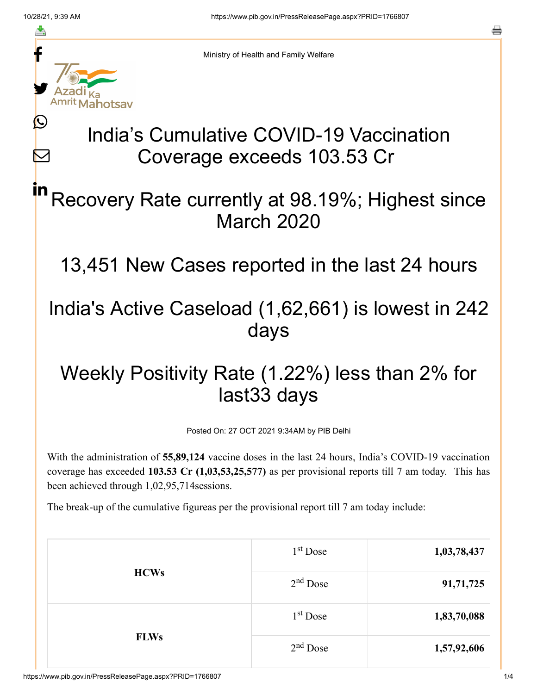≛

 $\bm{\nabla}$ 



Ministry of Health and Family Welfare

## India's Cumulative COVID-19 Vaccination Coverage exceeds 103.53 Cr

## Recovery Rate currently at 98.19%; Highest since March 2020 in

13,451 New Cases reported in the last 24 hours

## India's Active Caseload (1,62,661) is lowest in 242 days

## Weekly Positivity Rate (1.22%) less than 2% for last33 days

Posted On: 27 OCT 2021 9:34AM by PIB Delhi

With the administration of **55,89,124** vaccine doses in the last 24 hours, India's COVID-19 vaccination coverage has exceeded **103.53 Cr (1,03,53,25,577)** as per provisional reports till 7 am today. This has been achieved through 1,02,95,714sessions.

The break-up of the cumulative figureas per the provisional report till 7 am today include:

| <b>HCWs</b> | $1st$ Dose | 1,03,78,437 |
|-------------|------------|-------------|
|             | $2nd$ Dose | 91,71,725   |
| <b>FLWs</b> | $1st$ Dose | 1,83,70,088 |
|             | $2nd$ Dose | 1,57,92,606 |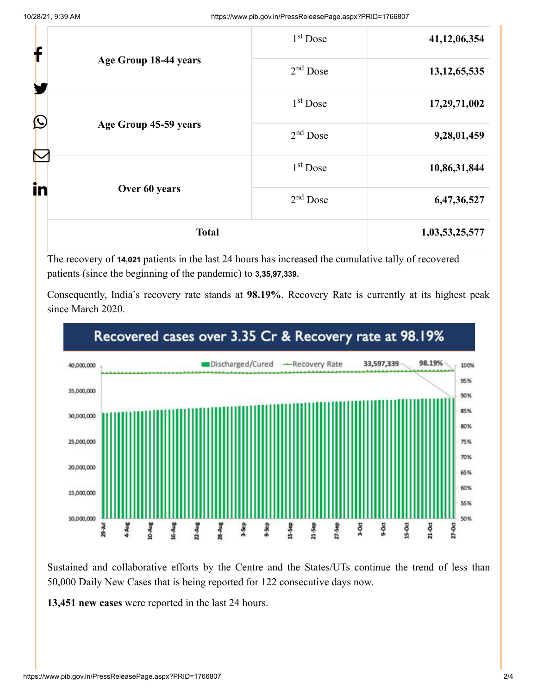| <b>Total</b>          |                       | 1,03,53,25,577  |              |
|-----------------------|-----------------------|-----------------|--------------|
| in<br>Over 60 years   |                       | $2nd$ Dose      | 6,47,36,527  |
|                       |                       | $1st$ Dose      | 10,86,31,844 |
|                       | Age Group 45-59 years | $2nd$ Dose      | 9,28,01,459  |
| $\bigcirc$            |                       | $1st$ Dose      | 17,29,71,002 |
| Age Group 18-44 years | $2nd$ Dose            | 13, 12, 65, 535 |              |
| f                     |                       | $1st$ Dose      | 41,12,06,354 |

The recovery of **14,021** patients in the last 24 hours has increased the cumulative tally of recovered patients (since the beginning of the pandemic) to **3,35,97,339.**

Consequently, India's recovery rate stands at **98.19%**. Recovery Rate is currently at its highest peak since March 2020.



Sustained and collaborative efforts by the Centre and the States/UTs continue the trend of less than 50,000 Daily New Cases that is being reported for 122 consecutive days now.

**13,451 new cases** were reported in the last 24 hours.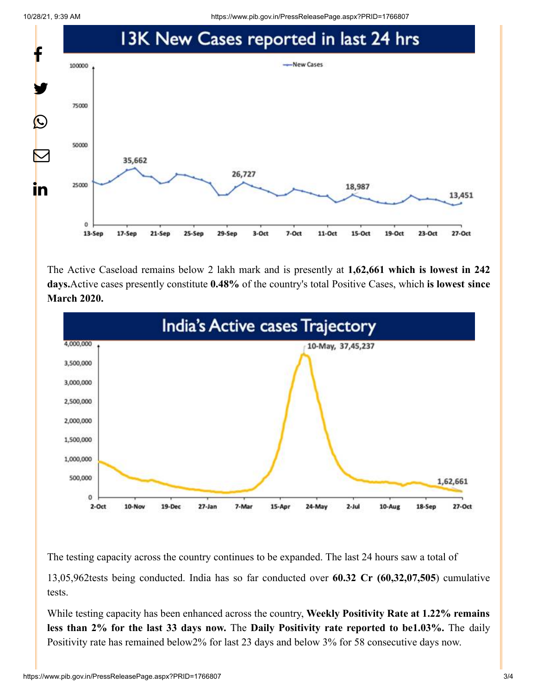10/28/21, 9:39 AM https://www.pib.gov.in/PressReleasePage.aspx?PRID=1766807



The Active Caseload remains below 2 lakh mark and is presently at **1,62,661 which is lowest in 242 days.**Active cases presently constitute **0.48%** of the country's total Positive Cases, which **is lowest since March 2020.**



The testing capacity across the country continues to be expanded. The last 24 hours saw a total of

13,05,962tests being conducted. India has so far conducted over **60.32 Cr (60,32,07,505**) cumulative tests.

While testing capacity has been enhanced across the country, **Weekly Positivity Rate at 1.22% remains less than 2% for the last 33 days now.** The **Daily Positivity rate reported to be1.03%.** The daily Positivity rate has remained below2% for last 23 days and below 3% for 58 consecutive days now.